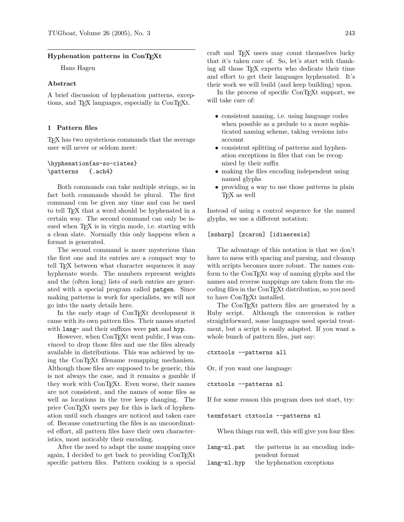## **Hyphenation patterns in ConTEXt**

Hans Hagen

## **Abstract**

A brief discussion of hyphenation patterns, exceptions, and TFX languages, especially in ConTFXt.

#### **1 Pattern files**

TEX has two mysterious commands that the average user will never or seldom meet:

# \hyphenation{as-so-ciates} \patterns {.ach4}

Both commands can take multiple strings, so in fact both commands should be plural. The first command can be given any time and can be used to tell T<sub>E</sub>X that a word should be hyphenated in a certain way. The second command can only be issued when T<sub>F</sub>X is in virgin mode, i.e. starting with a clean slate. Normally this only happens when a format is generated.

The second command is more mysterious than the first one and its entries are a compact way to tell T<sub>EX</sub> between what character sequences it may hyphenate words. The numbers represent weights and the (often long) lists of such entries are generated with a special program called patgen. Since making patterns is work for specialists, we will not go into the nasty details here.

In the early stage of ConTEXt development it came with its own pattern files. Their names started with lang- and their suffixes were pat and hyp.

However, when ConTEXt went public, I was convinced to drop those files and use the files already available in distributions. This was achieved by using the ConTEXt filename remapping mechanism. Although those files are supposed to be generic, this is not always the case, and it remains a gamble if they work with ConT<sub>E</sub>X<sup>t</sup>. Even worse, their names are not consistent, and the names of some files as well as locations in the tree keep changing. The price ConTEXt users pay for this is lack of hyphenation until such changes are noticed and taken care of. Because constructing the files is an uncoordinated effort, all pattern files have their own characteristics, most noticably their encoding.

After the need to adapt the name mapping once again, I decided to get back to providing ConT<sub>E</sub>X<sup>t</sup> specific pattern files. Pattern cooking is a special craft and TEX users may count themselves lucky that it's taken care of. So, let's start with thanking all those TEX experts who dedicate their time and effort to get their languages hyphenated. It's their work we will build (and keep building) upon.

In the process of specific ConT<sub>EXt</sub> support, we will take care of:

- consistent naming, i.e. using language codes when possible as a prelude to a more sophisticated naming scheme, taking versions into account
- consistent splitting of patterns and hyphenation exceptions in files that can be recognized by their suffix
- making the files encoding independent using named glyphs
- providing a way to use those patterns in plain TEX as well

Instead of using a control sequence for the named glyphs, we use a different notation:

### [ssharp] [zcaron] [idiaeresis]

The advantage of this notation is that we don't have to mess with spacing and parsing, and cleanup with scripts becomes more robust. The names conform to the ConT<sub>E</sub>Xt way of naming glyphs and the names and reverse mappings are taken from the encoding files in the ConTEXt distribution, so you need to have ConT<sub>EX</sub>t installed.

The ConT<sub>E</sub>Xt pattern files are generated by a Ruby script. Although the conversion is rather straightforward, some languages need special treatment, but a script is easily adapted. If you want a whole bunch of pattern files, just say:

```
ctxtools --patterns all
```
Or, if you want one language:

```
ctxtools --patterns nl
```
If for some reason this program does not start, try:

```
texmfstart ctxtools --patterns nl
```
When things run well, this will give you four files:

| lang-nl.pat | the patterns in an encoding inde- |
|-------------|-----------------------------------|
|             | pendent format                    |
| lang-nl.hyp | the hyphenation exceptions        |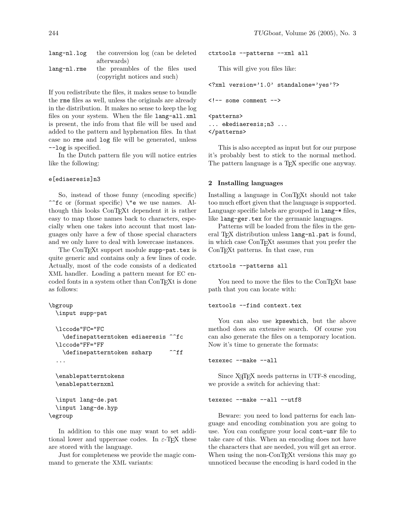| lang-nl.log the conversion log (can be deleted |
|------------------------------------------------|
| afterwards)                                    |
| lang-nl.rme the preambles of the files used    |
| (copyright notices and such)                   |

If you redistribute the files, it makes sense to bundle the rme files as well, unless the originals are already in the distribution. It makes no sense to keep the log files on your system. When the file lang-all.xml is present, the info from that file will be used and added to the pattern and hyphenation files. In that case no rme and log file will be generated, unless --log is specified.

In the Dutch pattern file you will notice entries like the following:

## e[ediaeresis]n3

So, instead of those funny (encoding specific) ^^fc or (format specific) \"e we use names. Although this looks ConTEXt dependent it is rather easy to map those names back to characters, especially when one takes into account that most languages only have a few of those special characters and we only have to deal with lowercase instances.

The ConTEXt support module supp-pat.tex is quite generic and contains only a few lines of code. Actually, most of the code consists of a dedicated XML handler. Loading a pattern meant for EC encoded fonts in a system other than ConTEXt is done as follows:

```
\bgroup
```

```
\input supp-pat
```

```
\lccode"FC="FC
  \definepatterntoken ediaeresis ^^fc
\lccode"FF="FF
  \definepatterntoken ssharp ^^ff
...
\enablepatterntokens
\enablepatternxml
\input lang-de.pat
```

```
\input lang-de.hyp
\egroup
```
In addition to this one may want to set additional lower and uppercase codes. In  $\varepsilon$ -T<sub>E</sub>X these are stored with the language.

Just for completeness we provide the magic command to generate the XML variants:

ctxtools --patterns --xml all

This will give you files like:

```
<?xml version='1.0' standalone='yes'?>
\left\langle -\right\rangle some comment \left\langle -\right\rangle<patterns>
```
... e&ediaeresis;n3 ... </patterns>

This is also accepted as input but for our purpose it's probably best to stick to the normal method. The pattern language is a T<sub>E</sub>X specific one anyway.

## **2 Installing languages**

Installing a language in ConTEXt should not take too much effort given that the language is supported. Language specific labels are grouped in lang-\* files, like lang-ger.tex for the germanic languages.

Patterns will be loaded from the files in the general T<sub>F</sub>X distribution unless lang-nl.pat is found, in which case ConT<sub>E</sub>X<sub>t</sub> assumes that you prefer the ConT<sub>E</sub>Xt patterns. In that case, run

```
ctxtools --patterns all
```
You need to move the files to the ConT<sub>EXt</sub> base path that you can locate with:

```
textools --find context.tex
```
You can also use kpsewhich, but the above method does an extensive search. Of course you can also generate the files on a temporary location. Now it's time to generate the formats:

texexec --make --all

Since  $X \nsubseteq Y$  needs patterns in UTF-8 encoding, we provide a switch for achieving that:

#### texexec --make --all --utf8

Beware: you need to load patterns for each language and encoding combination you are going to use. You can configure your local cont-usr file to take care of this. When an encoding does not have the characters that are needed, you will get an error. When using the non-ConT<sub>EX</sub>t versions this may go unnoticed because the encoding is hard coded in the